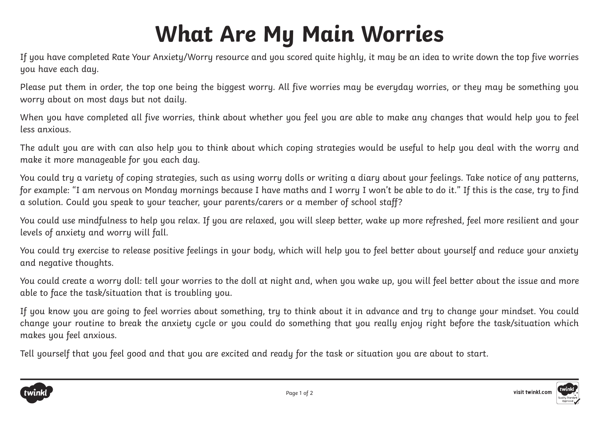## **What Are My Main Worries**

If you have completed Rate Your Anxiety/Worry resource and you scored quite highly, it may be an idea to write down the top five worries you have each day.

Please put them in order, the top one being the biggest worry. All five worries may be everyday worries, or they may be something you worry about on most days but not daily.

When you have completed all five worries, think about whether you feel you are able to make any changes that would help you to feel less anxious.

The adult you are with can also help you to think about which coping strategies would be useful to help you deal with the worry and make it more manageable for you each day.

You could try a variety of coping strategies, such as using worry dolls or writing a diary about your feelings. Take notice of any patterns, for example: "I am nervous on Monday mornings because I have maths and I worry I won't be able to do it." If this is the case, try to find a solution. Could you speak to your teacher, your parents/carers or a member of school staff?

You could use mindfulness to help you relax. If you are relaxed, you will sleep better, wake up more refreshed, feel more resilient and your levels of anxiety and worry will fall.

You could try exercise to release positive feelings in your body, which will help you to feel better about yourself and reduce your anxiety and negative thoughts.

You could create a worry doll: tell your worries to the doll at night and, when you wake up, you will feel better about the issue and more able to face the task/situation that is troubling you.

If you know you are going to feel worries about something, try to think about it in advance and try to change your mindset. You could change your routine to break the anxiety cycle or you could do something that you really enjoy right before the task/situation which makes you feel anxious.

Tell yourself that you feel good and that you are excited and ready for the task or situation you are about to start.